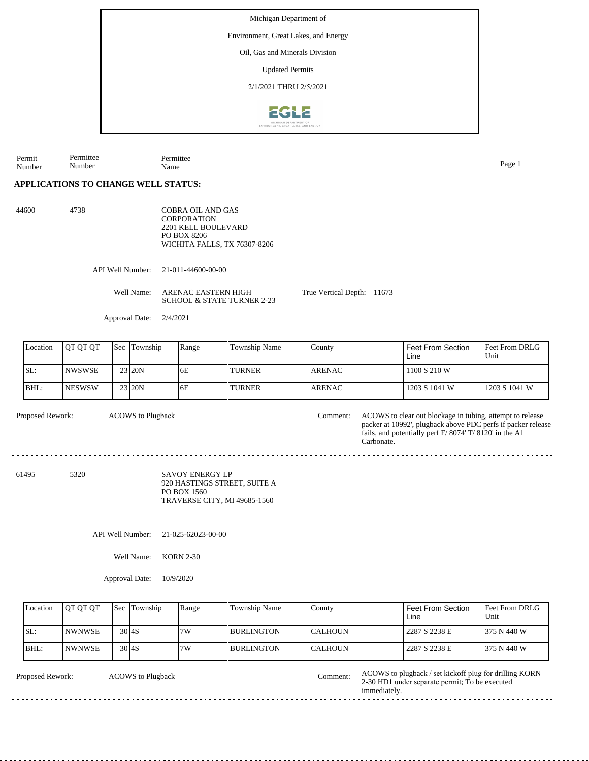Environment, Great Lakes, and Energy

Oil, Gas and Minerals Division

Updated Permits

2/1/2021 THRU 2/5/2021



Permit Number Permittee Number Permittee Name Page 1

## **APPLICATIONS TO CHANGE WELL STATUS:**

44600 4738

COBRA OIL AND GAS **CORPORATION** 2201 KELL BOULEVARD PO BOX 8206 WICHITA FALLS, TX 76307-8206

API Well Number: 21-011-44600-00-00

Well Name: ARENAC EASTERN HIGH SCHOOL & STATE TURNER 2-23

Approval Date: 2/4/2021

| Location | <b>IOT OT OT</b> | <b>Sec</b> | Township            | Range | Township Name | County         | Feet From Section<br>Line | <b>Feet From DRLG</b><br>Unit |
|----------|------------------|------------|---------------------|-------|---------------|----------------|---------------------------|-------------------------------|
| SL:      | <b>NWSWSE</b>    |            | 23 20N              | 6E    | <b>TURNER</b> | <b>LARENAC</b> | 1100 S 210 W              |                               |
| BHL:     | <b>NESWSW</b>    |            | 23 <sub>120</sub> N | 6E    | <b>TURNER</b> | <b>ARENAC</b>  | 1203 S 1041 W             | 1203 S 1041 W                 |

True Vertical Depth: 11673

ACOWS to Plugback

Proposed Rework: ACOWS to Plugback Comment: ACOWS to clear out blockage in tubing, attempt to release packer at 10992', plugback above PDC perfs if packer release fails, and potentially perf F/ 8074' T/ 8120' in the A1 Carbonate. Comment:

61495 5320

SAVOY ENERGY LP 920 HASTINGS STREET, SUITE A PO BOX 1560 TRAVERSE CITY, MI 49685-1560

API Well Number: 21-025-62023-00-00

Well Name: KORN 2-30

Approval Date: 10/9/2020

| Location | <b>IOT OT OT</b> | <b>Sec</b> Township | Range | Township Name | County          | Feet From Section<br>Line | <b>Feet From DRLG</b><br>Unit |
|----------|------------------|---------------------|-------|---------------|-----------------|---------------------------|-------------------------------|
| ISL:     | <b>INWNWSE</b>   | $30$ <sub>4S</sub>  | 7W    | l BURLINGTON  | <b>ICALHOUN</b> | 2287 S 2238 E             | 1375 N 440 W                  |
| BHL:     | <b>INWNWSE</b>   | $30\,$ 4S           | 7W    | l BURLINGTON  | <b>CALHOUN</b>  | 2287 S 2238 E             | 1375 N 440 W                  |
|          |                  |                     |       |               |                 |                           |                               |

ACOWS to Plugback

Proposed Rework: ACOWS to Plugback ACOWS to Plugback / Set kickoff plug for drilling KORN 2-30 HD1 under separate permit; To be executed immediately.

<u>. . . . . . . .</u>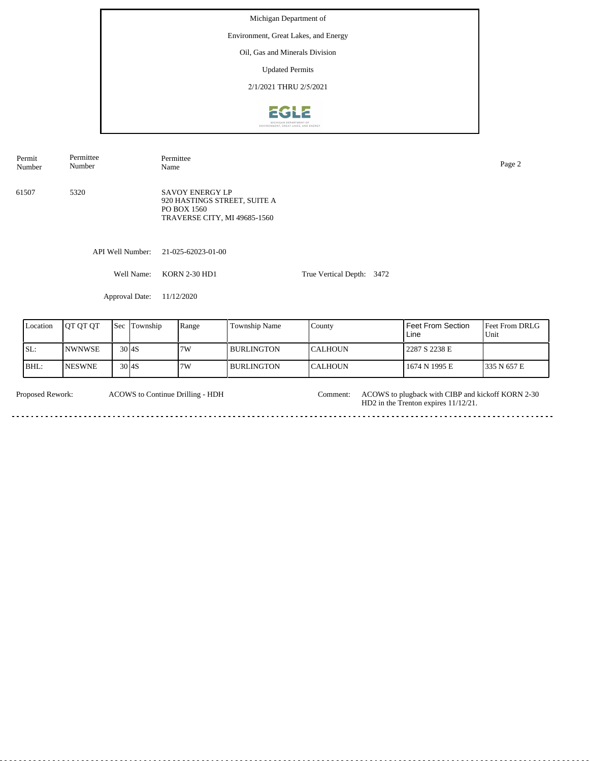Environment, Great Lakes, and Energy

Oil, Gas and Minerals Division

Updated Permits

2/1/2021 THRU 2/5/2021



| Permit<br>Number | Permittee<br>Number | Permittee<br>Name                                                                                     |                           | Page 2 |
|------------------|---------------------|-------------------------------------------------------------------------------------------------------|---------------------------|--------|
| 61507            | 5320                | <b>SAVOY ENERGY LP</b><br>920 HASTINGS STREET, SUITE A<br>PO BOX 1560<br>TRAVERSE CITY, MI 49685-1560 |                           |        |
|                  | API Well Number:    | 21-025-62023-01-00                                                                                    |                           |        |
|                  | Well Name:          | <b>KORN 2-30 HD1</b>                                                                                  | True Vertical Depth: 3472 |        |

Approval Date: 11/12/2020

| Location | <b>IOT OT OT</b> | Sec                | Township | Range | <b>Township Name</b> | County          | <b>Feet From Section</b><br>Line | <b>Feet From DRLG</b><br>Unit |
|----------|------------------|--------------------|----------|-------|----------------------|-----------------|----------------------------------|-------------------------------|
| ISL:     | <b>INWNWSE</b>   | $30$ <sub>4S</sub> |          | 7W    | I BURLINGTON         | <b>ICALHOUN</b> | 2287 S 2238 E                    |                               |
| BHL:     | <b>NESWNE</b>    | $30\,$ l $4S$      |          | 7W    | I BURLINGTON         | <b>CALHOUN</b>  | 1674 N 1995 E                    | 1335 N 657 E                  |

| <b>Proposed Rework:</b> | ACOWS to Continue Drilling - HDH | Comment: ACOWS to plugback with CIBP and kickoff KORN 2-30<br>$HD2$ in the Trenton expires $11/12/21$ . |
|-------------------------|----------------------------------|---------------------------------------------------------------------------------------------------------|
|                         |                                  |                                                                                                         |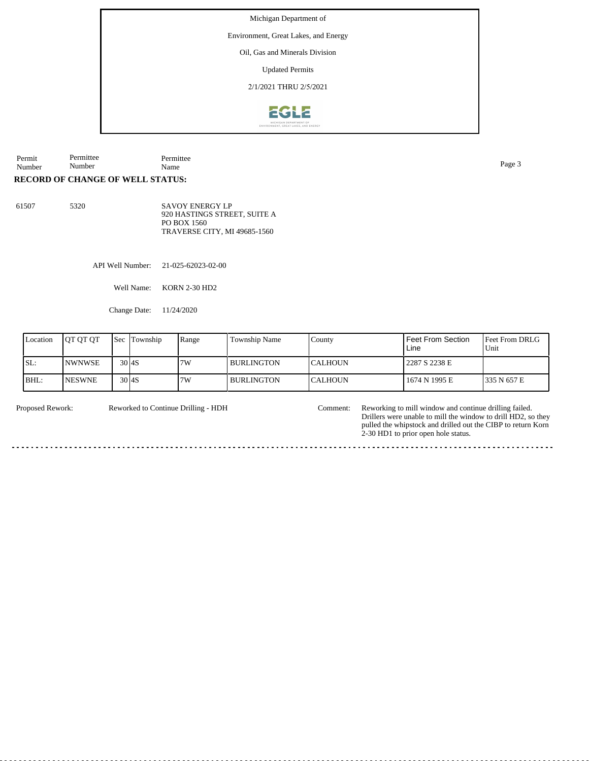Environment, Great Lakes, and Energy

Oil, Gas and Minerals Division

Updated Permits

2/1/2021 THRU 2/5/2021



Permit Number Permittee Permittee Name Page 3

Number

**RECORD OF CHANGE OF WELL STATUS:**

61507 5320 SAVOY ENERGY LP 920 HASTINGS STREET, SUITE A PO BOX 1560 TRAVERSE CITY, MI 49685-1560

API Well Number: 21-025-62023-02-00

Well Name: KORN 2-30 HD2

Change Date: 11/24/2020

| Location | <b>IOT OT OT</b> | <b>Sec</b>    | Township | Range | Township Name | County          | Feet From Section<br>Line | <b>Feet From DRLG</b><br>Unit |
|----------|------------------|---------------|----------|-------|---------------|-----------------|---------------------------|-------------------------------|
| SL:      | <b>NWNWSE</b>    | $30\,$ l $4S$ |          | 7W    | I BURLINGTON  | <b>ICALHOUN</b> | 2287 S 2238 E             |                               |
| BHL:     | <b>NESWNE</b>    | $30\,$ 4S     |          | 7W    | I BURLINGTON  | <b>ICALHOUN</b> | 1674 N 1995 E             | 335 N 657 E                   |

Reworked to Continue Drilling - HDH

Proposed Rework: Reworked to Continue Drilling - HDH Comment: Reworking to mill window and continue drilling failed. Drillers were unable to mill the window to drill HD2, so they pulled the whipstock and drilled out the CIBP to return Korn 2-30 HD1 to prior open hole status.

. . . . . . . . . . . . . . . .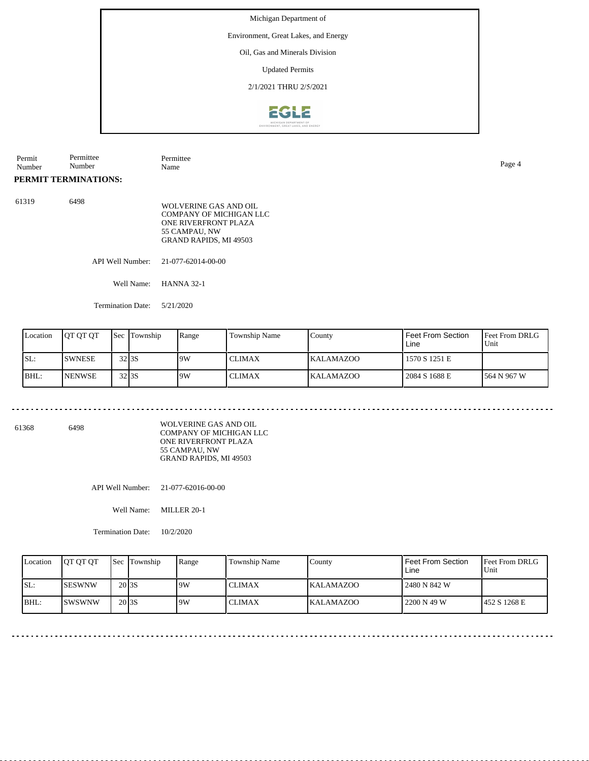Environment, Great Lakes, and Energy

Oil, Gas and Minerals Division

Updated Permits

2/1/2021 THRU 2/5/2021



| Permit<br>Number | Permittee<br>Number      | Permittee<br>Name                                                                                                          | Page 4 |
|------------------|--------------------------|----------------------------------------------------------------------------------------------------------------------------|--------|
|                  | PERMIT TERMINATIONS:     |                                                                                                                            |        |
| 61319            | 6498                     | WOLVERINE GAS AND OIL<br>COMPANY OF MICHIGAN LLC<br>ONE RIVERFRONT PLAZA<br>55 CAMPAU, NW<br><b>GRAND RAPIDS, MI 49503</b> |        |
|                  | API Well Number:         | 21-077-62014-00-00                                                                                                         |        |
|                  | Well Name:               | <b>HANNA 32-1</b>                                                                                                          |        |
|                  | <b>Termination Date:</b> | 5/21/2020                                                                                                                  |        |
|                  |                          |                                                                                                                            |        |

| Location | OT OT OT      | <b>Sec</b>         | Township | Range | Township Name | Countv           | Feet From Section<br>Line | <b>Feet From DRLG</b><br>Unit |
|----------|---------------|--------------------|----------|-------|---------------|------------------|---------------------------|-------------------------------|
| SL:      | <b>SWNESE</b> | 32 <sub>1</sub> 35 |          | 19W   | <b>CLIMAX</b> | <b>KALAMAZOO</b> | 1570 S 1251 E             |                               |
| BHL:     | <b>NENWSE</b> | 32 <sub>1</sub> 35 |          | 19W   | <b>CLIMAX</b> | <b>KALAMAZOO</b> | 2084 S 1688 E             | 1564 N 967 W                  |

. . . . . . . . . . . . . . . . . . . .

 $-$ 

61368 6498

WOLVERINE GAS AND OIL COMPANY OF MICHIGAN LLC ONE RIVERFRONT PLAZA 55 CAMPAU, NW GRAND RAPIDS, MI 49503

API Well Number: 21-077-62016-00-00

Well Name: MILLER 20-1

Termination Date: 10/2/2020

. . . . . . . . .

| Location | <b>OT OT OT</b> | <b>Sec Township</b> | Range | <b>Township Name</b> | County           | <b>Feet From Section</b><br>Line | <b>Feet From DRLG</b><br>Unit |
|----------|-----------------|---------------------|-------|----------------------|------------------|----------------------------------|-------------------------------|
| SL:      | <b>SESWNW</b>   | 20 <sub>3S</sub>    | 9W    | <b>CLIMAX</b>        | <b>KALAMAZOO</b> | 2480 N 842 W                     |                               |
| $IBHL$ : | <b>ISWSWNW</b>  | 20 <sub>3S</sub>    | 9W    | <b>CLIMAX</b>        | <b>KALAMAZOO</b> | 2200 N 49 W                      | 452 S 1268 E                  |